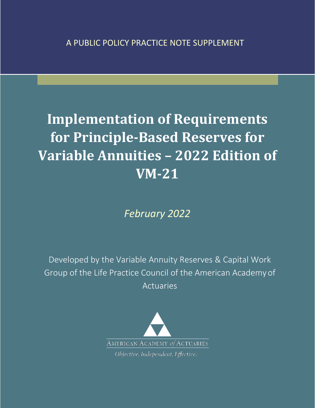# **Implementation of Requirements for Principle-Based Reserves for Variable Annuities – 2022 Edition of VM-21**

*February 2022*

Developed by the Variable Annuity Reserves & Capital Work Group of the Life Practice Council of the American Academy of Actuaries

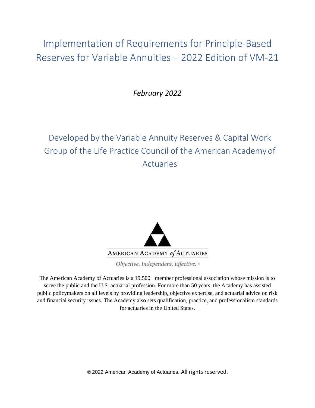Implementation of Requirements for Principle-Based Reserves for Variable Annuities – 2022 Edition of VM-21

*February 2022*

## Developed by the Variable Annuity Reserves & Capital Work Group of the Life Practice Council of the American Academy of Actuaries



Objective. Independent. Effective.™

The American Academy of Actuaries is a 19,500+ member professional association whose mission is to serve the public and the U.S. actuarial profession. For more than 50 years, the Academy has assisted public policymakers on all levels by providing leadership, objective expertise, and actuarial advice on risk and financial security issues. The Academy also sets qualification, practice, and professionalism standards for actuaries in the United States.

© 2022 American Academy of Actuaries. All rights reserved.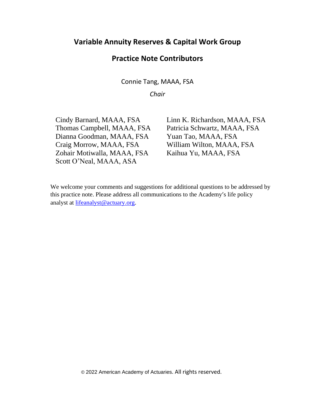## **Variable Annuity Reserves & Capital Work Group**

## **Practice Note Contributors**

Connie Tang, MAAA, FSA

*Chair*

Cindy Barnard, MAAA, FSA Linn K. Richardson, MAAA, FSA Thomas Campbell, MAAA, FSA Patricia Schwartz, MAAA, FSA Dianna Goodman, MAAA, FSA Yuan Tao, MAAA, FSA Craig Morrow, MAAA, FSA William Wilton, MAAA, FSA Zohair Motiwalla, MAAA, FSA Kaihua Yu, MAAA, FSA Scott O'Neal, MAAA, ASA

We welcome your comments and suggestions for additional questions to be addressed by this practice note. Please address all communications to the Academy's life policy analyst at [lifeanalyst@actuary.org.](mailto:lifeanalyst@actuary.org)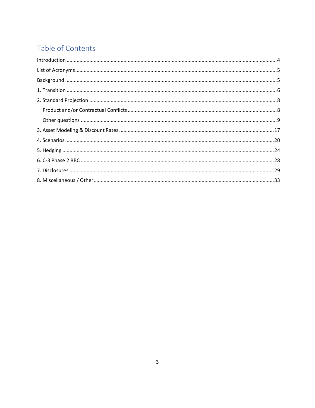## Table of Contents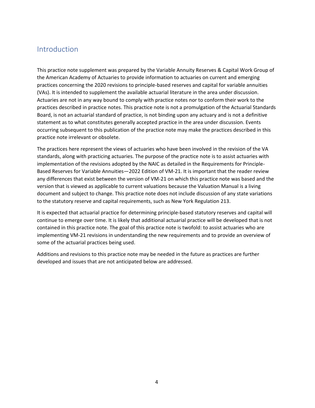## <span id="page-4-0"></span>Introduction

This practice note supplement was prepared by the Variable Annuity Reserves & Capital Work Group of the American Academy of Actuaries to provide information to actuaries on current and emerging practices concerning the 2020 revisions to principle-based reserves and capital for variable annuities (VAs). It is intended to supplement the available actuarial literature in the area under discussion. Actuaries are not in any way bound to comply with practice notes nor to conform their work to the practices described in practice notes. This practice note is not a promulgation of the Actuarial Standards Board, is not an actuarial standard of practice, is not binding upon any actuary and is not a definitive statement as to what constitutes generally accepted practice in the area under discussion. Events occurring subsequent to this publication of the practice note may make the practices described in this practice note irrelevant or obsolete.

The practices here represent the views of actuaries who have been involved in the revision of the VA standards, along with practicing actuaries. The purpose of the practice note is to assist actuaries with implementation of the revisions adopted by the NAIC as detailed in the Requirements for Principle-Based Reserves for Variable Annuities—2022 Edition of VM-21. It is important that the reader review any differences that exist between the version of VM-21 on which this practice note was based and the version that is viewed as applicable to current valuations because the Valuation Manual is a living document and subject to change. This practice note does not include discussion of any state variations to the statutory reserve and capital requirements, such as New York Regulation 213.

It is expected that actuarial practice for determining principle-based statutory reserves and capital will continue to emerge over time. It is likely that additional actuarial practice will be developed that is not contained in this practice note. The goal of this practice note is twofold: to assist actuaries who are implementing VM-21 revisions in understanding the new requirements and to provide an overview of some of the actuarial practices being used.

Additions and revisions to this practice note may be needed in the future as practices are further developed and issues that are not anticipated below are addressed.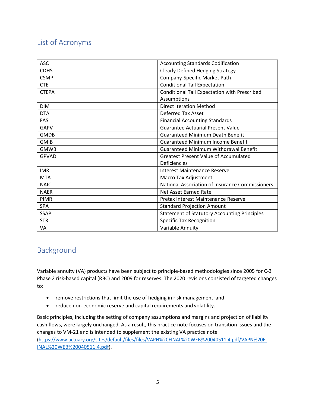## <span id="page-5-0"></span>List of Acronyms

| <b>ASC</b>   | <b>Accounting Standards Codification</b>            |  |
|--------------|-----------------------------------------------------|--|
| <b>CDHS</b>  | <b>Clearly Defined Hedging Strategy</b>             |  |
| <b>CSMP</b>  | Company-Specific Market Path                        |  |
| <b>CTE</b>   | <b>Conditional Tail Expectation</b>                 |  |
| <b>CTEPA</b> | Conditional Tail Expectation with Prescribed        |  |
|              | Assumptions                                         |  |
| <b>DIM</b>   | <b>Direct Iteration Method</b>                      |  |
| <b>DTA</b>   | <b>Deferred Tax Asset</b>                           |  |
| <b>FAS</b>   | <b>Financial Accounting Standards</b>               |  |
| <b>GAPV</b>  | <b>Guarantee Actuarial Present Value</b>            |  |
| <b>GMDB</b>  | <b>Guaranteed Minimum Death Benefit</b>             |  |
| <b>GMIB</b>  | <b>Guaranteed Minimum Income Benefit</b>            |  |
| <b>GMWB</b>  | <b>Guaranteed Minimum Withdrawal Benefit</b>        |  |
| <b>GPVAD</b> | <b>Greatest Present Value of Accumulated</b>        |  |
|              | Deficiencies                                        |  |
| <b>IMR</b>   | <b>Interest Maintenance Reserve</b>                 |  |
| <b>MTA</b>   | Macro Tax Adjustment                                |  |
| <b>NAIC</b>  | National Association of Insurance Commissioners     |  |
| <b>NAER</b>  | Net Asset Earned Rate                               |  |
| PIMR         | Pretax Interest Maintenance Reserve                 |  |
| SPA          | <b>Standard Projection Amount</b>                   |  |
| <b>SSAP</b>  | <b>Statement of Statutory Accounting Principles</b> |  |
| <b>STR</b>   | <b>Specific Tax Recognition</b>                     |  |
| VA           | Variable Annuity                                    |  |

## <span id="page-5-1"></span>Background

Variable annuity (VA) products have been subject to principle-based methodologies since 2005 for C-3 Phase 2 risk-based capital (RBC) and 2009 for reserves. The 2020 revisions consisted of targeted changes to:

- remove restrictions that limit the use of hedging in risk management; and
- reduce non-economic reserve and capital requirements and volatility.

Basic principles, including the setting of company assumptions and margins and projection of liability cash flows, were largely unchanged. As a result, this practice note focuses on transition issues and the changes to VM-21 and is intended to supplement the existing VA practice note [\(https://www.actuary.org/sites/default/files/files/VAPN%20FINAL%20WEB%20040511.4.pdf/VAPN%20F](https://www.actuary.org/sites/default/files/files/VAPN%20FINAL%20WEB%20040511.4.pdf/VAPN%20FINAL%20WEB%20040511.4.pdf) [INAL%20WEB%20040511.4.pdf\)](https://www.actuary.org/sites/default/files/files/VAPN%20FINAL%20WEB%20040511.4.pdf/VAPN%20FINAL%20WEB%20040511.4.pdf).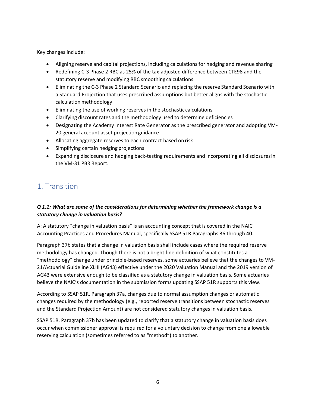Key changes include:

- Aligning reserve and capital projections, including calculations for hedging and revenue sharing
- Redefining C-3 Phase 2 RBC as 25% of the tax-adjusted difference between CTE98 and the statutory reserve and modifying RBC smoothing calculations
- Eliminating the C-3 Phase 2 Standard Scenario and replacing the reserve Standard Scenario with a Standard Projection that uses prescribed assumptions but better aligns with the stochastic calculation methodology
- Eliminating the use of working reserves in the stochastic calculations
- Clarifying discount rates and the methodology used to determine deficiencies
- Designating the Academy Interest Rate Generator as the prescribed generator and adopting VM-20 general account asset projection guidance
- Allocating aggregate reserves to each contract based on risk
- Simplifying certain hedging projections
- Expanding disclosure and hedging back-testing requirements and incorporating all disclosuresin the VM-31 PBR Report.

## <span id="page-6-0"></span>1. Transition

#### *Q 1.1: What are some of the considerations for determining whether the framework change is a statutory change in valuation basis?*

A: A statutory "change in valuation basis" is an accounting concept that is covered in the NAIC Accounting Practices and Procedures Manual, specifically SSAP 51R Paragraphs 36 through 40.

Paragraph 37b states that a change in valuation basis shall include cases where the required reserve methodology has changed. Though there is not a bright-line definition of what constitutes a "methodology" change under principle-based reserves, some actuaries believe that the changes to VM-21/Actuarial Guideline XLIII (AG43) effective under the 2020 Valuation Manual and the 2019 version of AG43 were extensive enough to be classified as a statutory change in valuation basis. Some actuaries believe the NAIC's documentation in the submission forms updating SSAP 51R supports this view.

According to SSAP 51R, Paragraph 37a, changes due to normal assumption changes or automatic changes required by the methodology (e.g., reported reserve transitions between stochastic reserves and the Standard Projection Amount) are not considered statutory changes in valuation basis.

SSAP 51R, Paragraph 37b has been updated to clarify that a statutory change in valuation basis does occur when commissioner approval is required for a voluntary decision to change from one allowable reserving calculation (sometimes referred to as "method") to another.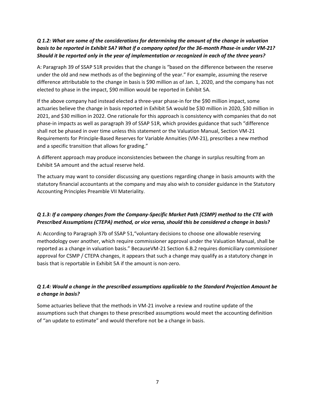#### *Q 1.2: What are some of the considerations for determining the amount of the change in valuation basis to be reported in Exhibit 5A? What if a company opted for the 36-month Phase-in under VM-21? Should it be reported only in the year of implementation or recognized in each of the three years?*

A: Paragraph 39 of SSAP 51R provides that the change is "based on the difference between the reserve under the old and new methods as of the beginning of the year." For example, assuming the reserve difference attributable to the change in basis is \$90 million as of Jan. 1, 2020, and the company has not elected to phase in the impact, \$90 million would be reported in Exhibit 5A.

If the above company had instead elected a three-year phase-in for the \$90 million impact, some actuaries believe the change in basis reported in Exhibit 5A would be \$30 million in 2020, \$30 million in 2021, and \$30 million in 2022. One rationale for this approach is consistency with companies that do not phase-in impacts as well as paragraph 39 of SSAP 51R, which provides guidance that such "difference shall not be phased in over time unless this statement or the Valuation Manual, Section VM-21 Requirements for Principle-Based Reserves for Variable Annuities (VM-21), prescribes a new method and a specific transition that allows for grading."

A different approach may produce inconsistencies between the change in surplus resulting from an Exhibit 5A amount and the actual reserve held.

The actuary may want to consider discussing any questions regarding change in basis amounts with the statutory financial accountants at the company and may also wish to consider guidance in the Statutory Accounting Principles Preamble VII Materiality.

#### *Q 1.3: If a company changes from the Company-Specific Market Path (CSMP) method to the CTE with Prescribed Assumptions (CTEPA) method, or vice versa, should this be considered a change in basis?*

A: According to Paragraph 37b of SSAP 51,"voluntary decisions to choose one allowable reserving methodology over another, which require commissioner approval under the Valuation Manual, shall be reported as a change in valuation basis." BecauseVM-21 Section 6.B.2 requires domiciliary commissioner approval for CSMP / CTEPA changes, it appears that such a change may qualify as a statutory change in basis that is reportable in Exhibit 5A if the amount is non-zero.

#### *Q 1.4: Would a change in the prescribed assumptions applicable to the Standard Projection Amount be a change in basis?*

Some actuaries believe that the methods in VM-21 involve a review and routine update of the assumptions such that changes to these prescribed assumptions would meet the accounting definition of "an update to estimate" and would therefore not be a change in basis.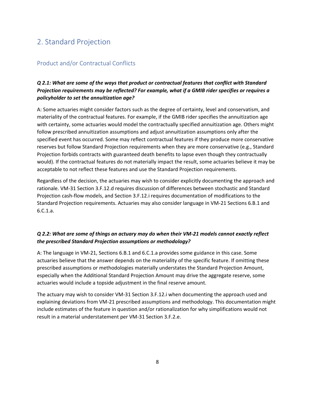## <span id="page-8-0"></span>2. Standard Projection

#### <span id="page-8-1"></span>Product and/or Contractual Conflicts

#### *Q 2.1: What are some of the ways that product or contractual features that conflict with Standard Projection requirements may be reflected? For example, what if a GMIB rider specifies or requires a policyholder to set the annuitization age?*

A: Some actuaries might consider factors such as the degree of certainty, level and conservatism, and materiality of the contractual features. For example, if the GMIB rider specifies the annuitization age with certainty, some actuaries would model the contractually specified annuitization age. Others might follow prescribed annuitization assumptions and adjust annuitization assumptions only after the specified event has occurred. Some may reflect contractual features if they produce more conservative reserves but follow Standard Projection requirements when they are more conservative (e.g., Standard Projection forbids contracts with guaranteed death benefits to lapse even though they contractually would). If the contractual features do not materially impact the result, some actuaries believe it may be acceptable to not reflect these features and use the Standard Projection requirements.

Regardless of the decision, the actuaries may wish to consider explicitly documenting the approach and rationale. VM-31 Section 3.F.12.d requires discussion of differences between stochastic and Standard Projection cash-flow models, and Section 3.F.12.i requires documentation of modifications to the Standard Projection requirements. Actuaries may also consider language in VM-21 Sections 6.B.1 and 6.C.1.a.

#### *Q 2.2: What are some of things an actuary may do when their VM-21 models cannot exactly reflect the prescribed Standard Projection assumptions or methodology?*

A: The language in VM-21, Sections 6.B.1 and 6.C.1.a provides some guidance in this case. Some actuaries believe that the answer depends on the materiality of the specific feature. If omitting these prescribed assumptions or methodologies materially understates the Standard Projection Amount, especially when the Additional Standard Projection Amount may drive the aggregate reserve, some actuaries would include a topside adjustment in the final reserve amount.

The actuary may wish to consider VM-31 Section 3.F.12.i when documenting the approach used and explaining deviations from VM-21 prescribed assumptions and methodology. This documentation might include estimates of the feature in question and/or rationalization for why simplifications would not result in a material understatement per VM-31 Section 3.F.2.e.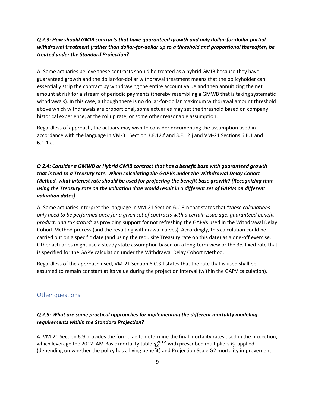#### *Q 2.3: How should GMIB contracts that have guaranteed growth and only dollar-for-dollar partial withdrawal treatment (rather than dollar-for-dollar up to a threshold and proportional thereafter) be treated under the Standard Projection?*

A: Some actuaries believe these contracts should be treated as a hybrid GMIB because they have guaranteed growth and the dollar-for-dollar withdrawal treatment means that the policyholder can essentially strip the contract by withdrawing the entire account value and then annuitizing the net amount at risk for a stream of periodic payments (thereby resembling a GMWB that is taking systematic withdrawals). In this case, although there is no dollar-for-dollar maximum withdrawal amount threshold above which withdrawals are proportional, some actuaries may set the threshold based on company historical experience, at the rollup rate, or some other reasonable assumption.

Regardless of approach, the actuary may wish to consider documenting the assumption used in accordance with the language in VM-31 Section 3.F.12.f and 3.F.12.j and VM-21 Sections 6.B.1 and 6.C.1.a.

#### *Q 2.4: Consider a GMWB or Hybrid GMIB contract that has a benefit base with guaranteed growth that is tied to a Treasury rate. When calculating the GAPVs under the Withdrawal Delay Cohort Method, what interest rate should be used for projecting the benefit base growth? (Recognizing that using the Treasury rate on the valuation date would result in a different set of GAPVs on different valuation dates)*

A: Some actuaries interpret the language in VM-21 Section 6.C.3.n that states that "*these calculations only need to be performed once for a given set of contracts with a certain issue age, guaranteed benefit product, and tax status*" as providing support for not refreshing the GAPVs used in the Withdrawal Delay Cohort Method process (and the resulting withdrawal curves). Accordingly, this calculation could be carried out on a specific date (and using the requisite Treasury rate on this date) as a one-off exercise. Other actuaries might use a steady state assumption based on a long-term view or the 3% fixed rate that is specified for the GAPV calculation under the Withdrawal Delay Cohort Method.

Regardless of the approach used, VM-21 Section 6.C.3.f states that the rate that is used shall be assumed to remain constant at its value during the projection interval (within the GAPV calculation).

#### <span id="page-9-0"></span>Other questions

#### *Q 2.5: What are some practical approaches for implementing the different mortality modeling requirements within the Standard Projection?*

A: VM-21 Section 6.9 provides the formulae to determine the final mortality rates used in the projection, which leverage the 2012 IAM Basic mortality table  $q_{\chi}^{2012}$  with prescribed multipliers  $F_n$  applied (depending on whether the policy has a living benefit) and Projection Scale G2 mortality improvement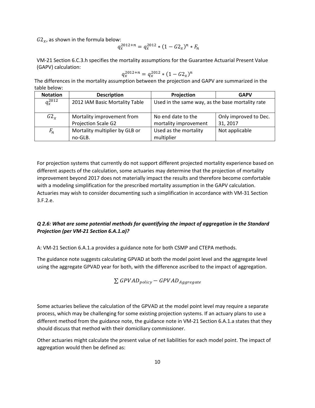$G2_x$ , as shown in the formula below:

$$
q_x^{2012+n} = q_x^{2012} * (1 - G2_x)^n * F_n
$$

VM-21 Section 6.C.3.h specifies the mortality assumptions for the Guarantee Actuarial Present Value (GAPV) calculation:

$$
q_x^{2012+n} = q_x^{2012} * (1 - G2_x)^n
$$

The differences in the mortality assumption between the projection and GAPV are summarized in the table below:

| <b>Notation</b> | <b>Description</b>                                | Projection                                       | <b>GAPV</b>                       |
|-----------------|---------------------------------------------------|--------------------------------------------------|-----------------------------------|
| $q_{x}^{2012}$  | 2012 IAM Basic Mortality Table                    | Used in the same way, as the base mortality rate |                                   |
| $G2_r$          | Mortality improvement from<br>Projection Scale G2 | No end date to the<br>mortality improvement      | Only improved to Dec.<br>31, 2017 |
| $F_n$           | Mortality multiplier by GLB or<br>no-GLB.         | Used as the mortality<br>multiplier              | Not applicable                    |

For projection systems that currently do not support different projected mortality experience based on different aspects of the calculation, some actuaries may determine that the projection of mortality improvement beyond 2017 does not materially impact the results and therefore become comfortable with a modeling simplification for the prescribed mortality assumption in the GAPV calculation. Actuaries may wish to consider documenting such a simplification in accordance with VM-31 Section 3.F.2.e.

#### *Q 2.6: What are some potential methods for quantifying the impact of aggregation in the Standard Projection (per VM-21 Section 6.A.1.a)?*

A: VM-21 Section 6.A.1.a provides a guidance note for both CSMP and CTEPA methods.

The guidance note suggests calculating GPVAD at both the model point level and the aggregate level using the aggregate GPVAD year for both, with the difference ascribed to the impact of aggregation.

$$
\sum\textit{GPVAD}_{policy}-\textit{GPVAD}_{Aggregate}
$$

Some actuaries believe the calculation of the GPVAD at the model point level may require a separate process, which may be challenging for some existing projection systems. If an actuary plans to use a different method from the guidance note, the guidance note in VM-21 Section 6.A.1.a states that they should discuss that method with their domiciliary commissioner.

Other actuaries might calculate the present value of net liabilities for each model point. The impact of aggregation would then be defined as: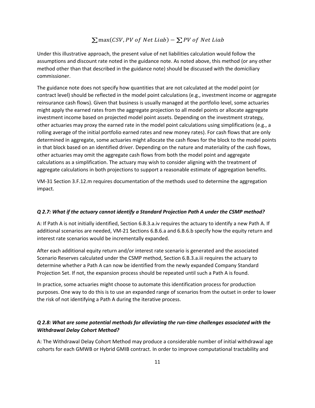#### $\sum$ max(CSV, PV of Net Liab) –  $\sum$ PV of Net Liab

Under this illustrative approach, the present value of net liabilities calculation would follow the assumptions and discount rate noted in the guidance note. As noted above, this method (or any other method other than that described in the guidance note) should be discussed with the domiciliary commissioner.

The guidance note does not specify how quantities that are not calculated at the model point (or contract level) should be reflected in the model point calculations (e.g., investment income or aggregate reinsurance cash flows). Given that business is usually managed at the portfolio level, some actuaries might apply the earned rates from the aggregate projection to all model points or allocate aggregate investment income based on projected model point assets. Depending on the investment strategy, other actuaries may proxy the earned rate in the model point calculations using simplifications (e.g., a rolling average of the initial portfolio earned rates and new money rates). For cash flows that are only determined in aggregate, some actuaries might allocate the cash flows for the block to the model points in that block based on an identified driver. Depending on the nature and materiality of the cash flows, other actuaries may omit the aggregate cash flows from both the model point and aggregate calculations as a simplification. The actuary may wish to consider aligning with the treatment of aggregate calculations in both projections to support a reasonable estimate of aggregation benefits.

VM-31 Section 3.F.12.m requires documentation of the methods used to determine the aggregation impact.

#### *Q 2.7: What if the actuary cannot identify a Standard Projection Path A under the CSMP method?*

A: If Path A is not initially identified, Section 6.B.3.a.iv requires the actuary to identify a new Path A. If additional scenarios are needed, VM-21 Sections 6.B.6.a and 6.B.6.b specify how the equity return and interest rate scenarios would be incrementally expanded.

After each additional equity return and/or interest rate scenario is generated and the associated Scenario Reserves calculated under the CSMP method, Section 6.B.3.a.iii requires the actuary to determine whether a Path A can now be identified from the newly expanded Company Standard Projection Set. If not, the expansion process should be repeated until such a Path A is found.

In practice, some actuaries might choose to automate this identification process for production purposes. One way to do this is to use an expanded range of scenarios from the outset in order to lower the risk of not identifying a Path A during the iterative process.

#### *Q 2.8: What are some potential methods for alleviating the run-time challenges associated with the Withdrawal Delay Cohort Method?*

A: The Withdrawal Delay Cohort Method may produce a considerable number of initial withdrawal age cohorts for each GMWB or Hybrid GMIB contract. In order to improve computational tractability and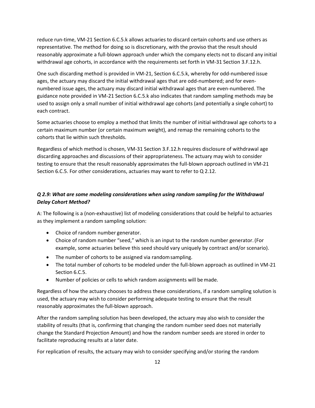reduce run-time, VM-21 Section 6.C.5.k allows actuaries to discard certain cohorts and use others as representative. The method for doing so is discretionary, with the proviso that the result should reasonably approximate a full-blown approach under which the company elects not to discard any initial withdrawal age cohorts, in accordance with the requirements set forth in VM-31 Section 3.F.12.h.

One such discarding method is provided in VM-21, Section 6.C.5.k, whereby for odd-numbered issue ages, the actuary may discard the initial withdrawal ages that are odd-numbered; and for evennumbered issue ages, the actuary may discard initial withdrawal ages that are even-numbered. The guidance note provided in VM-21 Section 6.C.5.k also indicates that random sampling methods may be used to assign only a small number of initial withdrawal age cohorts (and potentially a single cohort) to each contract.

Some actuaries choose to employ a method that limits the number of initial withdrawal age cohorts to a certain maximum number (or certain maximum weight), and remap the remaining cohorts to the cohorts that lie within such thresholds.

Regardless of which method is chosen, VM-31 Section 3.F.12.h requires disclosure of withdrawal age discarding approaches and discussions of their appropriateness. The actuary may wish to consider testing to ensure that the result reasonably approximates the full-blown approach outlined in VM-21 Section 6.C.5. For other considerations, actuaries may want to refer to Q 2.12.

#### *Q 2.9: What are some modeling considerations when using random sampling for the Withdrawal Delay Cohort Method?*

A: The following is a (non-exhaustive) list of modeling considerations that could be helpful to actuaries as they implement a random sampling solution:

- Choice of random number generator.
- Choice of random number "seed," which is an input to the random number generator.(For example, some actuaries believe this seed should vary uniquely by contract and/or scenario).
- The number of cohorts to be assigned via randomsampling.
- The total number of cohorts to be modeled under the full-blown approach as outlined in VM-21 Section 6.C.5.
- Number of policies or cells to which random assignments will bemade.

Regardless of how the actuary chooses to address these considerations, if a random sampling solution is used, the actuary may wish to consider performing adequate testing to ensure that the result reasonably approximates the full-blown approach.

After the random sampling solution has been developed, the actuary may also wish to consider the stability of results (that is, confirming that changing the random number seed does not materially change the Standard Projection Amount) and how the random number seeds are stored in order to facilitate reproducing results at a later date.

For replication of results, the actuary may wish to consider specifying and/or storing the random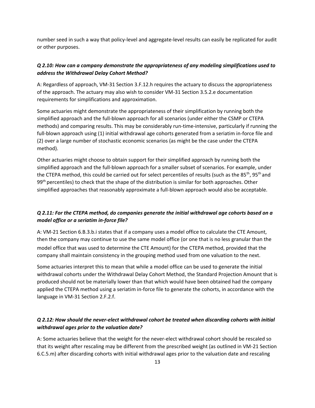number seed in such a way that policy-level and aggregate-level results can easily be replicated for audit or other purposes.

#### *Q 2.10: How can a company demonstrate the appropriateness of any modeling simplifications used to address the Withdrawal Delay Cohort Method?*

A: Regardless of approach, VM-31 Section 3.F.12.h requires the actuary to discuss the appropriateness of the approach. The actuary may also wish to consider VM-31 Section 3.5.2.e documentation requirements for simplifications and approximation.

Some actuaries might demonstrate the appropriateness of their simplification by running both the simplified approach and the full-blown approach for all scenarios (under either the CSMP or CTEPA methods) and comparing results. This may be considerably run-time-intensive, particularly if running the full-blown approach using (1) initial withdrawal age cohorts generated from a seriatim in-force file and (2) over a large number of stochastic economic scenarios (as might be the case under the CTEPA method).

Other actuaries might choose to obtain support for their simplified approach by running both the simplified approach and the full-blown approach for a smaller subset of scenarios. For example, under the CTEPA method, this could be carried out for select percentiles of results (such as the 85<sup>th</sup>, 95<sup>th</sup> and 99<sup>th</sup> percentiles) to check that the shape of the distribution is similar for both approaches. Other simplified approaches that reasonably approximate a full-blown approach would also be acceptable.

#### *Q 2.11: For the CTEPA method, do companies generate the initial withdrawal age cohorts based on a model office or a seriatim in-force file?*

A: VM-21 Section 6.B.3.b.i states that if a company uses a model office to calculate the CTE Amount, then the company may continue to use the same model office (or one that is no less granular than the model office that was used to determine the CTE Amount) for the CTEPA method, provided that the company shall maintain consistency in the grouping method used from one valuation to the next.

Some actuaries interpret this to mean that while a model office can be used to generate the initial withdrawal cohorts under the Withdrawal Delay Cohort Method, the Standard Projection Amount that is produced should not be materially lower than that which would have been obtained had the company applied the CTEPA method using a seriatim in-force file to generate the cohorts, in accordance with the language in VM-31 Section 2.F.2.f.

#### *Q 2.12: How should the never-elect withdrawal cohort be treated when discarding cohorts with initial withdrawal ages prior to the valuation date?*

A: Some actuaries believe that the weight for the never-elect withdrawal cohort should be rescaled so that its weight after rescaling may be different from the prescribed weight (as outlined in VM-21 Section 6.C.5.m) after discarding cohorts with initial withdrawal ages prior to the valuation date and rescaling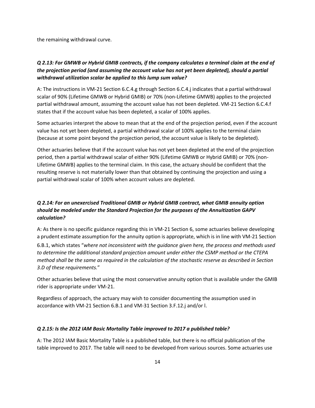the remaining withdrawal curve.

#### *Q 2.13: For GMWB or Hybrid GMIB contracts, if the company calculates a terminal claim at the end of the projection period (and assuming the account value has not yet been depleted), should a partial withdrawal utilization scalar be applied to this lump sum value?*

A: The instructions in VM-21 Section 6.C.4.g through Section 6.C.4.j indicates that a partial withdrawal scalar of 90% (Lifetime GMWB or Hybrid GMIB) or 70% (non-Lifetime GMWB) applies to the projected partial withdrawal amount, assuming the account value has not been depleted. VM-21 Section 6.C.4.f states that if the account value has been depleted, a scalar of 100% applies.

Some actuaries interpret the above to mean that at the end of the projection period, even if the account value has not yet been depleted, a partial withdrawal scalar of 100% applies to the terminal claim (because at some point beyond the projection period, the account value is likely to be depleted).

Other actuaries believe that if the account value has not yet been depleted at the end of the projection period, then a partial withdrawal scalar of either 90% (Lifetime GMWB or Hybrid GMIB) or 70% (non-Lifetime GMWB) applies to the terminal claim. In this case, the actuary should be confident that the resulting reserve is not materially lower than that obtained by continuing the projection and using a partial withdrawal scalar of 100% when account values are depleted.

#### *Q 2.14: For an unexercised Traditional GMIB or Hybrid GMIB contract, what GMIB annuity option should be modeled under the Standard Projection for the purposes of the Annuitization GAPV calculation?*

A: As there is no specific guidance regarding this in VM-21 Section 6, some actuaries believe developing a prudent estimate assumption for the annuity option is appropriate, which is in line with VM-21 Section 6.B.1, which states "*where not inconsistent with the guidance given here, the process and methods used to determine the additional standard projection amount under either the CSMP method or the CTEPA method shall be the same as required in the calculation of the stochastic reserve as described in Section 3.D of these requirements.*"

Other actuaries believe that using the most conservative annuity option that is available under the GMIB rider is appropriate under VM-21.

Regardless of approach, the actuary may wish to consider documenting the assumption used in accordance with VM-21 Section 6.B.1 and VM-31 Section 3.F.12.j and/or l.

#### *Q 2.15: Is the 2012 IAM Basic Mortality Table improved to 2017 a published table?*

A: The 2012 IAM Basic Mortality Table is a published table, but there is no official publication of the table improved to 2017. The table will need to be developed from various sources. Some actuaries use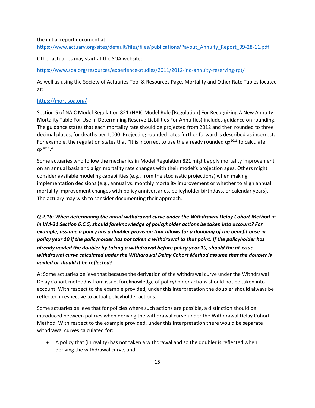#### the initial report document at

[https://www.actuary.org/sites/default/files/files/publications/Payout\\_Annuity\\_Report\\_09-28-11.pdf](https://www.actuary.org/sites/default/files/files/publications/Payout_Annuity_Report_09-28-11.pdf)

Other actuaries may start at the SOA website:

<https://www.soa.org/resources/experience-studies/2011/2012-ind-annuity-reserving-rpt/>

As well as using the Society of Actuaries Tool & Resources Page, Mortality and Other Rate Tables located at:

#### <https://mort.soa.org/>

Section 5 of NAIC Model Regulation 821 (NAIC Model Rule [Regulation] For Recognizing A New Annuity Mortality Table For Use In Determining Reserve Liabilities For Annuities) includes guidance on rounding. The guidance states that each mortality rate should be projected from 2012 and then rounded to three decimal places, for deaths per 1,000. Projecting rounded rates further forward is described as incorrect. For example, the regulation states that "It is incorrect to use the already rounded  $qx^{2013}$  to calculate  $ax^{2014}$ ."

Some actuaries who follow the mechanics in Model Regulation 821 might apply mortality improvement on an annual basis and align mortality rate changes with their model's projection ages. Others might consider available modeling capabilities (e.g., from the stochastic projections) when making implementation decisions (e.g., annual vs. monthly mortality improvement or whether to align annual mortality improvement changes with policy anniversaries, policyholder birthdays, or calendar years). The actuary may wish to consider documenting their approach.

*Q 2.16: When determining the initial withdrawal curve under the Withdrawal Delay Cohort Method in in VM-21 Section 6.C.5, should foreknowledge of policyholder actions be taken into account? For example, assume a policy has a doubler provision that allows for a doubling of the benefit base in policy year 10 if the policyholder has not taken a withdrawal to that point. If the policyholder has already voided the doubler by taking a withdrawal before policy year 10, should the at-issue withdrawal curve calculated under the Withdrawal Delay Cohort Method assume that the doubler is voided or should it be reflected?*

A: Some actuaries believe that because the derivation of the withdrawal curve under the Withdrawal Delay Cohort method is from issue, foreknowledge of policyholder actions should not be taken into account. With respect to the example provided, under this interpretation the doubler should always be reflected irrespective to actual policyholder actions.

Some actuaries believe that for policies where such actions are possible, a distinction should be introduced between policies when deriving the withdrawal curve under the Withdrawal Delay Cohort Method. With respect to the example provided, under this interpretation there would be separate withdrawal curves calculated for:

• A policy that (in reality) has not taken a withdrawal and so the doubler is reflected when deriving the withdrawal curve, and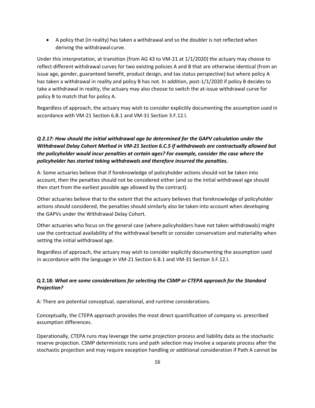• A policy that (in reality) has taken a withdrawal and so the doubler is not reflected when deriving the withdrawal curve.

Under this interpretation, at transition (from AG 43 to VM-21 at 1/1/2020) the actuary may choose to reflect different withdrawal curves for two existing policies A and B that are otherwise identical (from an issue age, gender, guaranteed benefit, product design, and tax status perspective) but where policy A has taken a withdrawal in reality and policy B has not. In addition, post-1/1/2020 if policy B decides to take a withdrawal in reality, the actuary may also choose to switch the at-issue withdrawal curve for policy B to match that for policy A.

Regardless of approach, the actuary may wish to consider explicitly documenting the assumption used in accordance with VM-21 Section 6.B.1 and VM-31 Section 3.F.12.l.

#### *Q 2.17: How should the initial withdrawal age be determined for the GAPV calculation under the Withdrawal Delay Cohort Method in VM-21 Section 6.C.5 if withdrawals are contractually allowed but the policyholder would incur penalties at certain ages? For example, consider the case where the policyholder has started taking withdrawals and therefore incurred the penalties.*

A: Some actuaries believe that if foreknowledge of policyholder actions should not be taken into account, then the penalties should not be considered either (and so the initial withdrawal age should then start from the earliest possible age allowed by the contract).

Other actuaries believe that to the extent that the actuary believes that foreknowledge of policyholder actions should considered, the penalties should similarly also be taken into account when developing the GAPVs under the Withdrawal Delay Cohort.

Other actuaries who focus on the general case (where policyholders have not taken withdrawals) might use the contractual availability of the withdrawal benefit or consider conservatism and materiality when setting the initial withdrawal age.

Regardless of approach, the actuary may wish to consider explicitly documenting the assumption used in accordance with the language in VM-21 Section 6.B.1 and VM-31 Section 3.F.12.l.

#### **Q 2.18:** *What are some considerations for selecting the CSMP or CTEPA approach for the Standard Projection?*

A: There are potential conceptual, operational, and runtime considerations.

Conceptually, the CTEPA approach provides the most direct quantification of company vs. prescribed assumption differences.

Operationally, CTEPA runs may leverage the same projection process and liability data as the stochastic reserve projection. CSMP deterministic runs and path selection may involve a separate process after the stochastic projection and may require exception handling or additional consideration if Path A cannot be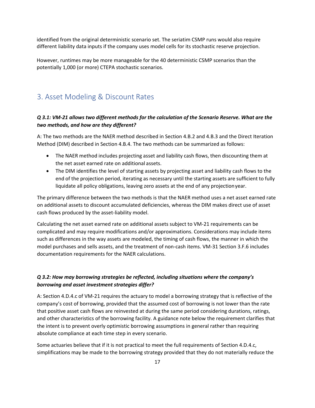identified from the original deterministic scenario set. The seriatim CSMP runs would also require different liability data inputs if the company uses model cells for its stochastic reserve projection.

However, runtimes may be more manageable for the 40 deterministic CSMP scenarios than the potentially 1,000 (or more) CTEPA stochastic scenarios.

## <span id="page-17-0"></span>3. Asset Modeling & Discount Rates

#### *Q 3.1: VM-21 allows two different methods for the calculation of the Scenario Reserve. What are the two methods, and how are they different?*

A: The two methods are the NAER method described in Section 4.B.2 and 4.B.3 and the Direct Iteration Method (DIM) described in Section 4.B.4. The two methods can be summarized as follows:

- The NAER method includes projecting asset and liability cash flows, then discounting them at the net asset earned rate on additional assets.
- The DIM identifies the level of starting assets by projecting asset and liability cash flows to the end of the projection period, iterating as necessary until the starting assets are sufficient to fully liquidate all policy obligations, leaving zero assets at the end of any projectionyear.

The primary difference between the two methods is that the NAER method uses a net asset earned rate on additional assets to discount accumulated deficiencies, whereas the DIM makes direct use of asset cash flows produced by the asset-liability model.

Calculating the net asset earned rate on additional assets subject to VM-21 requirements can be complicated and may require modifications and/or approximations. Considerations may include items such as differences in the way assets are modeled, the timing of cash flows, the manner in which the model purchases and sells assets, and the treatment of non-cash items. VM-31 Section 3.F.6 includes documentation requirements for the NAER calculations.

#### *Q 3.2: How may borrowing strategies be reflected, including situations where the company's borrowing and asset investment strategies differ?*

A: Section 4.D.4.c of VM-21 requires the actuary to model a borrowing strategy that is reflective of the company's cost of borrowing, provided that the assumed cost of borrowing is not lower than the rate that positive asset cash flows are reinvested at during the same period considering durations, ratings, and other characteristics of the borrowing facility. A guidance note below the requirement clarifies that the intent is to prevent overly optimistic borrowing assumptions in general rather than requiring absolute compliance at each time step in every scenario.

Some actuaries believe that if it is not practical to meet the full requirements of Section 4.D.4.c, simplifications may be made to the borrowing strategy provided that they do not materially reduce the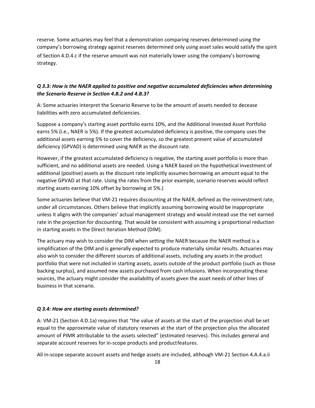reserve. Some actuaries may feel that a demonstration comparing reserves determined using the company's borrowing strategy against reserves determined only using asset sales would satisfy the spirit of Section 4.D.4.c if the reserve amount was not materially lower using the company's borrowing strategy.

#### *Q 3.3: How is the NAER applied to positive and negative accumulated deficiencies when determining the Scenario Reserve in Section 4.B.2 and 4.B.3?*

A: Some actuaries interpret the Scenario Reserve to be the amount of assets needed to decease liabilities with zero accumulated deficiencies.

Suppose a company's starting asset portfolio earns 10%, and the Additional Invested Asset Portfolio earns 5% (i.e., NAER is 5%). If the greatest accumulated deficiency is positive, the company uses the additional assets earning 5% to cover the deficiency, so the greatest present value of accumulated deficiency (GPVAD) is determined using NAER as the discount rate.

However, if the greatest accumulated deficiency is negative, the starting asset portfolio is more than sufficient, and no additional assets are needed. Using a NAER based on the hypothetical investment of additional (positive) assets as the discount rate implicitly assumes borrowing an amount equal to the negative GPVAD at that rate. Using the rates from the prior example, scenario reserves would reflect starting assets earning 10% offset by borrowing at 5%.)

Some actuaries believe that VM-21 requires discounting at the NAER, defined as the reinvestment rate, under all circumstances. Others believe that implicitly assuming borrowing would be inappropriate unless it aligns with the companies' actual management strategy and would instead use the net earned rate in the projection for discounting. That would be consistent with assuming a proportional reduction in starting assets in the Direct Iteration Method (DIM).

The actuary may wish to consider the DIM when setting the NAER because the NAER method is a simplification of the DIM and is generally expected to produce materially similar results. Actuaries may also wish to consider the different sources of additional assets, including any assets in the product portfolio that were not included in starting assets, assets outside of the product portfolio (such as those backing surplus), and assumed new assets purchased from cash infusions. When incorporating these sources, the actuary might consider the availability of assets given the asset needs of other lines of business in that scenario.

#### *Q 3.4: How are starting assets determined?*

A: VM-21 (Section 4.D.1a) requires that "the value of assets at the start of the projection shall be set equal to the approximate value of statutory reserves at the start of the projection plus the allocated amount of PIMR attributable to the assets selected" (estimated reserves). This includes general and separate account reserves for in-scope products and productfeatures.

All in-scope separate account assets and hedge assets are included, although VM-21 Section 4.A.4.a.ii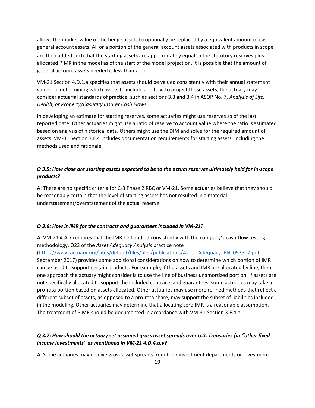allows the market value of the hedge assets to optionally be replaced by a equivalent amount of cash general account assets. All or a portion of the general account assets associated with products in scope are then added such that the starting assets are approximately equal to the statutory reserves plus allocated PIMR in the model as of the start of the model projection. It is possible that the amount of general account assets needed is less than zero.

VM-21 Section 4.D.1.a specifies that assets should be valued consistently with their annual statement values. In determining which assets to include and how to project those assets, the actuary may consider actuarial standards of practice, such as sections 3.3 and 3.4 in ASOP No. 7, *Analysis of Life, Health, or Property/Casualty Insurer Cash Flows.*

In developing an estimate for starting reserves, some actuaries might use reserves as of the last reported date. Other actuaries might use a ratio of reserve to account value where the ratio isestimated based on analysis of historical data. Others might use the DIM and solve for the required amount of assets. VM-31 Section 3.F.4 includes documentation requirements for starting assets, including the methods used and rationale.

#### *Q 3.5: How close are starting assets expected to be to the actual reserves ultimately held for in-scope products?*

A: There are no specific criteria for C-3 Phase 2 RBC or VM-21. Some actuaries believe that they should be reasonably certain that the level of starting assets has not resulted in a material understatement/overstatement of the actual reserve.

#### *Q 3.6: How is IMR for the contracts and guarantees included in VM-21?*

A: VM-21 4.A.7 requires that the IMR be handled consistently with the company's cash-flow testing methodology. Q23 of the *Asset Adequacy Analysis* practice note

[\(https://www.actuary.org/sites/default/files/files/publications/Asset\\_Adequacy\\_PN\\_092517.pdf;](https://www.actuary.org/sites/default/files/files/publications/Asset_Adequacy_PN_092517.pdf) September 2017) provides some additional considerations on how to determine which portion of IMR can be used to support certain products. For example, if the assets and IMR are allocated by line, then one approach the actuary might consider is to use the line of business unamortized portion. If assets are not specifically allocated to support the included contracts and guarantees, some actuaries may take a pro-rata portion based on assets allocated. Other actuaries may use more refined methods that reflect a different subset of assets, as opposed to a pro-rata share, may support the subset of liabilities included in the modeling. Other actuaries may determine that allocating zero IMR is a reasonable assumption. The treatment of PIMR should be documented in accordance with VM-31 Section 3.F.4.g.

#### *Q 3.7: How should the actuary set assumed gross asset spreads over U.S. Treasuries for "other fixed income investments" as mentioned in VM-21 4.D.4.a.v?*

A: Some actuaries may receive gross asset spreads from their investment departments or investment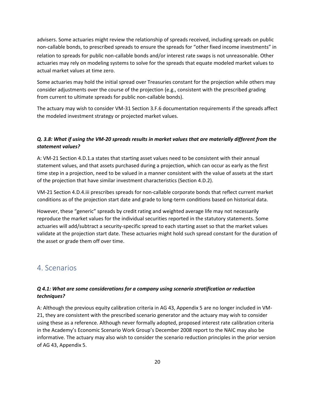advisers. Some actuaries might review the relationship of spreads received, including spreads on public non-callable bonds, to prescribed spreads to ensure the spreads for "other fixed income investments" in relation to spreads for public non-callable bonds and/or interest rate swaps is not unreasonable. Other actuaries may rely on modeling systems to solve for the spreads that equate modeled market values to actual market values at time zero.

Some actuaries may hold the initial spread over Treasuries constant for the projection while others may consider adjustments over the course of the projection (e.g., consistent with the prescribed grading from current to ultimate spreads for public non-callable bonds).

The actuary may wish to consider VM-31 Section 3.F.6 documentation requirements if the spreads affect the modeled investment strategy or projected market values.

#### *Q. 3.8: What if using the VM-20 spreads results in market values that are materially different from the statement values?*

A: VM-21 Section 4.D.1.a states that starting asset values need to be consistent with their annual statement values, and that assets purchased during a projection, which can occur as early as the first time step in a projection, need to be valued in a manner consistent with the value of assets at the start of the projection that have similar investment characteristics (Section 4.D.2).

VM-21 Section 4.D.4.iii prescribes spreads for non-callable corporate bonds that reflect current market conditions as of the projection start date and grade to long-term conditions based on historical data.

However, these "generic" spreads by credit rating and weighted average life may not necessarily reproduce the market values for the individual securities reported in the statutory statements. Some actuaries will add/subtract a security-specific spread to each starting asset so that the market values validate at the projection start date. These actuaries might hold such spread constant for the duration of the asset or grade them off over time.

## <span id="page-20-0"></span>4. Scenarios

#### *Q 4.1: What are some considerations for a company using scenario stratification or reduction techniques?*

A: Although the previous equity calibration criteria in AG 43, Appendix 5 are no longer included in VM-21, they are consistent with the prescribed scenario generator and the actuary may wish to consider using these as a reference. Although never formally adopted, proposed interest rate calibration criteria in the Academy's Economic Scenario Work Group's December 2008 report to the NAIC may also be informative. The actuary may also wish to consider the scenario reduction principles in the prior version of AG 43, Appendix 5.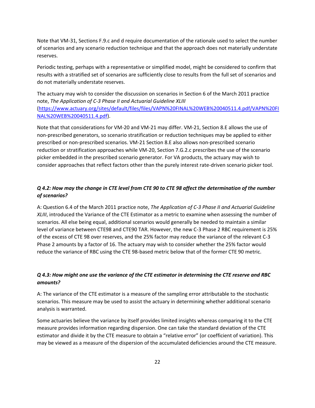Note that VM-31, Sections F.9.c and d require documentation of the rationale used to select the number of scenarios and any scenario reduction technique and that the approach does not materially understate reserves.

Periodic testing, perhaps with a representative or simplified model, might be considered to confirm that results with a stratified set of scenarios are sufficiently close to results from the full set of scenarios and do not materially understate reserves.

The actuary may wish to consider the discussion on scenarios in Section 6 of the March 2011 practice note, *The Application of C-3 Phase II and Actuarial Guideline XLIII*  [\(https://www.actuary.org/sites/default/files/files/VAPN%20FINAL%20WEB%20040511.4.pdf/VAPN%20FI](https://www.actuary.org/sites/default/files/files/VAPN%20FINAL%20WEB%20040511.4.pdf/VAPN%20FINAL%20WEB%20040511.4.pdf) [NAL%20WEB%20040511.4.pdf\)](https://www.actuary.org/sites/default/files/files/VAPN%20FINAL%20WEB%20040511.4.pdf/VAPN%20FINAL%20WEB%20040511.4.pdf).

Note that that considerations for VM-20 and VM-21 may differ. VM-21, Section 8.E allows the use of non-prescribed generators, so scenario stratification or reduction techniques may be applied to either prescribed or non-prescribed scenarios. VM-21 Section 8.E also allows non-prescribed scenario reduction or stratification approaches while VM-20, Section 7.G.2.c prescribes the use of the scenario picker embedded in the prescribed scenario generator. For VA products, the actuary may wish to consider approaches that reflect factors other than the purely interest rate-driven scenario picker tool.

#### *Q 4.2: How may the change in CTE level from CTE 90 to CTE 98 affect the determination of the number of scenarios?*

A: Question 6.4 of the March 2011 practice note, *The Application of C-3 Phase II and Actuarial Guideline XLIII*, introduced the Variance of the CTE Estimator as a metric to examine when assessing the number of scenarios. All else being equal, additional scenarios would generally be needed to maintain a similar level of variance between CTE98 and CTE90 TAR. However, the new C-3 Phase 2 RBC requirement is 25% of the excess of CTE 98 over reserves, and the 25% factor may reduce the variance of the relevant C-3 Phase 2 amounts by a factor of 16. The actuary may wish to consider whether the 25% factor would reduce the variance of RBC using the CTE 98-based metric below that of the former CTE 90 metric.

#### *Q 4.3: How might one use the variance of the CTE estimator in determining the CTE reserve and RBC amounts?*

A: The variance of the CTE estimator is a measure of the sampling error attributable to the stochastic scenarios. This measure may be used to assist the actuary in determining whether additional scenario analysis is warranted.

Some actuaries believe the variance by itself provides limited insights whereas comparing it to the CTE measure provides information regarding dispersion. One can take the standard deviation of the CTE estimator and divide it by the CTE measure to obtain a "relative error" (or coefficient of variation). This may be viewed as a measure of the dispersion of the accumulated deficiencies around the CTE measure.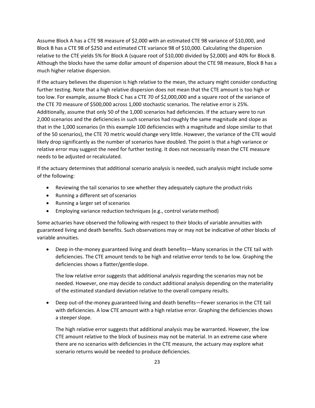Assume Block A has a CTE 98 measure of \$2,000 with an estimated CTE 98 variance of \$10,000, and Block B has a CTE 98 of \$250 and estimated CTE variance 98 of \$10,000. Calculating the dispersion relative to the CTE yields 5% for Block A (square root of \$10,000 divided by \$2,000) and 40% for Block B. Although the blocks have the same dollar amount of dispersion about the CTE 98 measure, Block B has a much higher relative dispersion.

If the actuary believes the dispersion is high relative to the mean, the actuary might consider conducting further testing. Note that a high relative dispersion does not mean that the CTE amount is too high or too low. For example, assume Block C has a CTE 70 of \$2,000,000 and a square root of the variance of the CTE 70 measure of \$500,000 across 1,000 stochastic scenarios. The relative error is 25%. Additionally, assume that only 50 of the 1,000 scenarios had deficiencies. If the actuary were to run 2,000 scenarios and the deficiencies in such scenarios had roughly the same magnitude and slope as that in the 1,000 scenarios (in this example 100 deficiencies with a magnitude and slope similar to that of the 50 scenarios), the CTE 70 metric would change very little. However, the variance of the CTE would likely drop significantly as the number of scenarios have doubled. The point is that a high variance or relative error may suggest the need for further testing. It does not necessarily mean the CTE measure needs to be adjusted or recalculated.

If the actuary determines that additional scenario analysis is needed, such analysis might include some of the following:

- Reviewing the tail scenarios to see whether they adequately capture the product risks
- Running a different set ofscenarios
- Running a larger set of scenarios
- Employing variance reduction techniques (e.g., control variatemethod)

Some actuaries have observed the following with respect to their blocks of variable annuities with guaranteed living and death benefits. Such observations may or may not be indicative of other blocks of variable annuities.

• Deep in-the-money guaranteed living and death benefits—Many scenarios in the CTE tail with deficiencies. The CTE amount tends to be high and relative error tends to be low. Graphing the deficiencies shows a flatter/gentleslope.

The low relative error suggests that additional analysis regarding the scenarios may not be needed. However, one may decide to conduct additional analysis depending on the materiality of the estimated standard deviation relative to the overall company results.

• Deep out-of-the-money guaranteed living and death benefits—Fewer scenarios in the CTE tail with deficiencies. A low CTE amount with a high relative error. Graphing the deficiencies shows a steeper slope.

The high relative error suggests that additional analysis may be warranted. However, the low CTE amount relative to the block of business may not be material. In an extreme case where there are no scenarios with deficiencies in the CTE measure, the actuary may explore what scenario returns would be needed to produce deficiencies.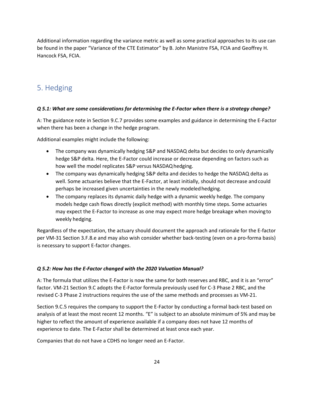Additional information regarding the variance metric as well as some practical approaches to its use can be found in the paper "Variance of the CTE Estimator" by B. John Manistre FSA, FCIA and Geoffrey H. Hancock FSA, FCIA.

## <span id="page-23-0"></span>5. Hedging

#### *Q 5.1: What are some considerations for determining the E-Factor when there is a strategy change?*

A: The guidance note in Section 9.C.7 provides some examples and guidance in determining the E-Factor when there has been a change in the hedge program.

Additional examples might include the following:

- The company was dynamically hedging S&P and NASDAQ delta but decides to only dynamically hedge S&P delta. Here, the E-Factor could increase or decrease depending on factors such as how well the model replicates S&P versus NASDAQ hedging.
- The company was dynamically hedging S&P delta and decides to hedge the NASDAQ delta as well. Some actuaries believe that the E-Factor, at least initially, should not decrease and could perhaps be increased given uncertainties in the newly modeled hedging.
- The company replaces its dynamic daily hedge with a dynamic weekly hedge. The company models hedge cash flows directly (explicit method) with monthly time steps. Some actuaries may expect the E-Factor to increase as one may expect more hedge breakage when movingto weekly hedging.

Regardless of the expectation, the actuary should document the approach and rationale for the E-factor per VM-31 Section 3.F.8.e and may also wish consider whether back-testing (even on a pro-forma basis) is necessary to support E-factor changes.

#### *Q 5.2: How has the E-Factor changed with the 2020 Valuation Manual?*

A: The formula that utilizes the E-Factor is now the same for both reserves and RBC, and it is an "error" factor. VM-21 Section 9.C adopts the E-Factor formula previously used for C-3 Phase 2 RBC, and the revised C-3 Phase 2 instructions requires the use of the same methods and processes as VM-21.

Section 9.C.5 requires the company to support the E-Factor by conducting a formal back-test based on analysis of at least the most recent 12 months. "E" is subject to an absolute minimum of 5% and may be higher to reflect the amount of experience available if a company does not have 12 months of experience to date. The E-Factor shall be determined at least once each year.

Companies that do not have a CDHS no longer need an E-Factor.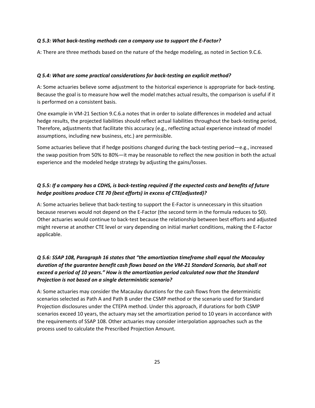#### *Q 5.3: What back-testing methods can a company use to support the E-Factor?*

A: There are three methods based on the nature of the hedge modeling, as noted in Section 9.C.6.

#### *Q 5.4: What are some practical considerations for back-testing an explicit method?*

A: Some actuaries believe some adjustment to the historical experience is appropriate for back-testing. Because the goal is to measure how well the model matches actual results, the comparison is useful if it is performed on a consistent basis.

One example in VM-21 Section 9.C.6.a notes that in order to isolate differences in modeled and actual hedge results, the projected liabilities should reflect actual liabilities throughout the back-testing period, Therefore, adjustments that facilitate this accuracy (e.g., reflecting actual experience instead of model assumptions, including new business, etc.) are permissible.

Some actuaries believe that if hedge positions changed during the back-testing period—e.g., increased the swap position from 50% to 80%—it may be reasonable to reflect the new position in both the actual experience and the modeled hedge strategy by adjusting the gains/losses.

#### *Q 5.5: If a company has a CDHS, is back-testing required if the expected costs and benefits of future hedge positions produce CTE 70 (best efforts) in excess of CTE(adjusted)?*

A: Some actuaries believe that back-testing to support the E-Factor is unnecessary in this situation because reserves would not depend on the E-Factor (the second term in the formula reduces to \$0). Other actuaries would continue to back-test because the relationship between best efforts and adjusted might reverse at another CTE level or vary depending on initial market conditions, making the E-Factor applicable.

#### *Q 5.6: SSAP 108, Paragraph 16 states that "the amortization timeframe shall equal the Macaulay duration of the guarantee benefit cash flows based on the VM-21 Standard Scenario, but shall not exceed a period of 10 years." How is the amortization period calculated now that the Standard Projection is not based on a single deterministic scenario?*

A: Some actuaries may consider the Macaulay durations for the cash flows from the deterministic scenarios selected as Path A and Path B under the CSMP method or the scenario used for Standard Projection disclosures under the CTEPA method. Under this approach, if durations for both CSMP scenarios exceed 10 years, the actuary may set the amortization period to 10 years in accordance with the requirements of SSAP 108. Other actuaries may consider interpolation approaches such as the process used to calculate the Prescribed Projection Amount.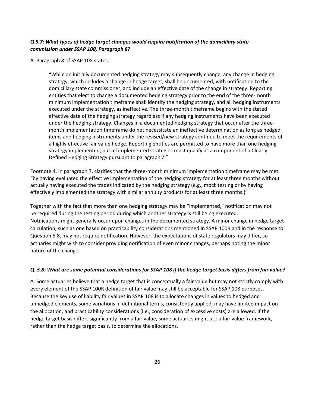#### *Q 5.7: What types of hedge target changes would require notification of the domiciliary state commission under SSAP 108, Paragraph 8?*

#### A: Paragraph 8 of SSAP 108 states:

"While an initially documented hedging strategy may subsequently change, any change in hedging strategy, which includes a change in hedge target, shall be documented, with notification to the domiciliary state commissioner, and include an effective date of the change in strategy. Reporting entities that elect to change a documented hedging strategy prior to the end of the three-month minimum implementation timeframe shall identify the hedging strategy, and all hedging instruments executed under the strategy, as ineffective. The three-month timeframe begins with the stated effective date of the hedging strategy regardless if any hedging instruments have been executed under the hedging strategy. Changes in a documented hedging strategy that occur after the threemonth implementation timeframe do not necessitate an ineffective determination as long as hedged items and hedging instruments under the revised/new strategy continue to meet the requirements of a highly effective fair value hedge. Reporting entities are permitted to have more than one hedging strategy implemented, but all implemented strategies must qualify as a component of a Clearly Defined Hedging Strategy pursuant to paragraph 7."

Footnote 4, in paragraph 7, clarifies that the three-month minimum implementation timeframe may be met "by having evaluated the effective implementation of the hedging strategy for at least three months without actually having executed the trades indicated by the hedging strategy (e.g., mock testing or by having effectively implemented the strategy with similar annuity products for at least three months.)"

Together with the fact that more than one hedging strategy may be "implemented," notification may not be required during the testing period during which another strategy is still being executed. Notifications might generally occur upon changes in the documented strategy. A minor change in hedge target calculation, such as one based on practicability considerations mentioned in SSAP 100R and in the response to Question 5.8, may not require notification. However, the expectations of state regulators may differ, so actuaries might wish to consider providing notification of even minor changes, perhaps noting the minor nature of the change.

#### *Q. 5.8: What are some potential considerations for SSAP 108 if the hedge target basis differs from fair value?*

A: Some actuaries believe that a hedge target that is conceptually a fair value but may not strictly comply with every element of the SSAP 100R definition of fair value may still be acceptable for SSAP 108 purposes. Because the key use of liability fair values in SSAP 108 is to allocate changes in values to hedged and unhedged elements, some variations in definitional terms, consistently applied, may have limited impact on the allocation, and practicability considerations (i.e., consideration of excessive costs) are allowed. If the hedge target basis differs significantly from a fair value, some actuaries might use a fair value framework, rather than the hedge target basis, to determine the allocations.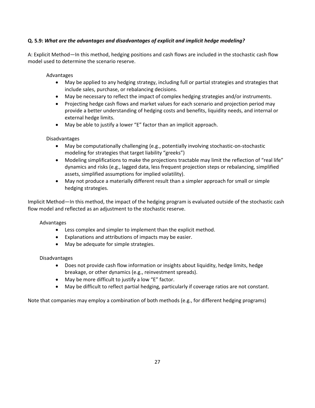#### **Q. 5.9:** *What are the advantages and disadvantages of explicit and implicit hedge modeling?*

A: Explicit Method—In this method, hedging positions and cash flows are included in the stochastic cash flow model used to determine the scenario reserve.

Advantages

- May be applied to any hedging strategy, including full or partial strategies and strategies that include sales, purchase, or rebalancing decisions.
- May be necessary to reflect the impact of complex hedging strategies and/or instruments.
- Projecting hedge cash flows and market values for each scenario and projection period may provide a better understanding of hedging costs and benefits, liquidity needs, and internal or external hedge limits.
- May be able to justify a lower "E" factor than an implicit approach.

#### Disadvantages

- May be computationally challenging (e.g., potentially involving stochastic-on-stochastic modeling for strategies that target liability "greeks")
- Modeling simplifications to make the projections tractable may limit the reflection of "real life" dynamics and risks (e.g., lagged data, less frequent projection steps or rebalancing, simplified assets, simplified assumptions for implied volatility).
- May not produce a materially different result than a simpler approach for small or simple hedging strategies.

Implicit Method—In this method, the impact of the hedging program is evaluated outside of the stochastic cash flow model and reflected as an adjustment to the stochastic reserve.

#### Advantages

- Less complex and simpler to implement than the explicit method.
- Explanations and attributions of impacts may be easier.
- May be adequate for simple strategies.

#### Disadvantages

- Does not provide cash flow information or insights about liquidity, hedge limits, hedge breakage, or other dynamics (e.g., reinvestment spreads).
- May be more difficult to justify a low "E" factor.
- May be difficult to reflect partial hedging, particularly if coverage ratios are not constant.

Note that companies may employ a combination of both methods (e.g., for different hedging programs)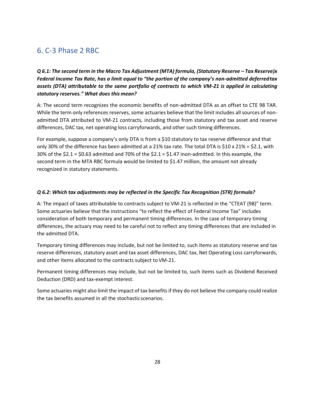## <span id="page-27-0"></span>6. C-3 Phase 2 RBC

*Q 6.1: The second term in the Macro Tax Adjustment (MTA) formula, (Statutory Reserve – Tax Reserve)x Federal Income Tax Rate, has a limit equal to "the portion of the company's non-admitted deferredtax assets (DTA) attributable to the same portfolio of contracts to which VM-21 is applied in calculating statutory reserves." What does this mean?*

A: The second term recognizes the economic benefits of non-admitted DTA as an offset to CTE 98 TAR. While the term only references reserves, some actuaries believe that the limit includes all sources of nonadmitted DTA attributed to VM-21 contracts, including those from statutory and tax asset and reserve differences, DAC tax, net operating loss carryforwards, and other such timing differences.

For example, suppose a company's only DTA is from a \$10 statutory to tax reserve difference and that only 30% of the difference has been admitted at a 21% tax rate. The total DTA is \$10 x 21% = \$2.1, with 30% of the  $$2.1 = $0.63$  admitted and 70% of the  $$2.1 = $1.47$  inon-admitted. In this example, the second term in the MTA RBC formula would be limited to \$1.47 million, the amount not already recognized in statutory statements.

#### *Q 6.2: Which tax adjustments may be reflected in the Specific Tax Recognition (STR) formula?*

A: The impact of taxes attributable to contracts subject to VM-21 is reflected in the "CTEAT (98)" term. Some actuaries believe that the instructions "to reflect the effect of Federal Income Tax" includes consideration of both temporary and permanent timing differences. In the case of temporary timing differences, the actuary may need to be careful not to reflect any timing differences that are included in the admitted DTA.

Temporary timing differences may include, but not be limited to, such items as statutory reserve and tax reserve differences, statutory asset and tax asset differences, DAC tax, Net Operating Loss carryforwards, and other items allocated to the contracts subject to VM-21.

Permanent timing differences may include, but not be limited to, such items such as Dividend Received Deduction (DRD) and tax-exempt interest.

Some actuaries might also limit the impact of tax benefits if they do not believe the company could realize the tax benefits assumed in all the stochastic scenarios.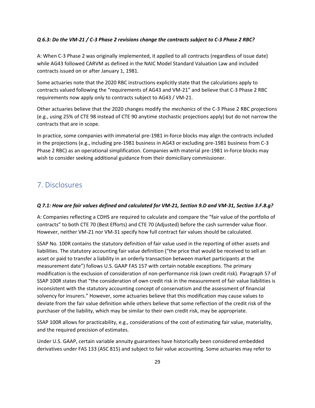#### *Q 6.3: Do the VM-21 / C-3 Phase 2 revisions change the contracts subject to C-3 Phase 2 RBC?*

A: When C-3 Phase 2 was originally implemented, it applied to all contracts (regardless of issue date) while AG43 followed CARVM as defined in the NAIC Model Standard Valuation Law and included contracts issued on or after January 1, 1981.

Some actuaries note that the 2020 RBC instructions explicitly state that the calculations apply to contracts valued following the "requirements of AG43 and VM-21" and believe that C-3 Phase 2 RBC requirements now apply only to contracts subject to AG43 / VM-21.

Other actuaries believe that the 2020 changes modify the *mechanics* of the C-3 Phase 2 RBC projections (e.g., using 25% of CTE 98 instead of CTE 90 anytime stochastic projections apply) but do not narrow the contracts that are in scope.

In practice, some companies with immaterial pre-1981 in-force blocks may align the contracts included in the projections (e.g., including pre-1981 business in AG43 or excluding pre-1981 business from C-3 Phase 2 RBC) as an operational simplification. Companies with material pre-1981 in-force blocks may wish to consider seeking additional guidance from their domiciliary commissioner.

## <span id="page-28-0"></span>7. Disclosures

#### *Q 7.1: How are fair values defined and calculated for VM-21, Section 9.D and VM-31, Section 3.F.8.g?*

A: Companies reflecting a CDHS are required to calculate and compare the "fair value of the portfolio of contracts" to both CTE 70 (Best Efforts) and CTE 70 (Adjusted) before the cash surrender value floor. However, neither VM-21 nor VM-31 specify how full contract fair values should be calculated.

SSAP No. 100R contains the statutory definition of fair value used in the reporting of other assets and liabilities. The statutory accounting fair value definition ("the price that would be received to sell an asset or paid to transfer a liability in an orderly transaction between market participants at the measurement date") follows U.S. GAAP FAS 157 with certain notable exceptions. The primary modification is the exclusion of consideration of non-performance risk (own credit risk). Paragraph 57 of SSAP 100R states that "the consideration of own credit risk in the measurement of fair value liabilities is inconsistent with the statutory accounting concept of conservatism and the assessment of financial solvency for insurers." However, some actuaries believe that this modification may cause values to deviate from the fair value definition while others believe that some reflection of the credit risk of the purchaser of the liability, which may be similar to their own credit risk, may be appropriate.

SSAP 100R allows for practicability, e.g., considerations of the cost of estimating fair value, materiality, and the required precision of estimates.

Under U.S. GAAP, certain variable annuity guarantees have historically been considered embedded derivatives under FAS 133 (ASC 815) and subject to fair value accounting. Some actuaries may refer to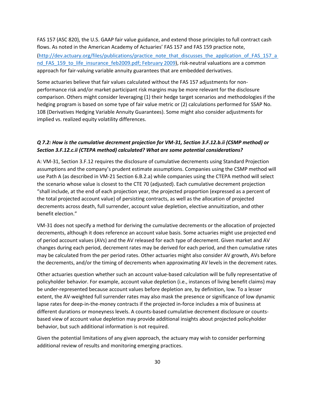FAS 157 (ASC 820), the U.S. GAAP fair value guidance, and extend those principles to full contract cash flows. As noted in the American Academy of Actuaries' FAS 157 and FAS 159 practice note, [\(http://dev.actuary.org/files/publications/practice\\_note\\_that\\_discusses\\_the\\_application\\_of\\_FAS\\_157\\_a](http://dev.actuary.org/files/publications/practice_note_that_discusses_the_application_of_FAS_157_and_FAS_159_to_life_insurance_feb2009.pdf) nd FAS 159 to life insurance feb2009.pdf; February 2009), risk-neutral valuations are a common approach for fair-valuing variable annuity guarantees that are embedded derivatives.

Some actuaries believe that fair values calculated without the FAS 157 adjustments for nonperformance risk and/or market participant risk margins may be more relevant for the disclosure comparison. Others might consider leveraging (1) their hedge target scenarios and methodologies if the hedging program is based on some type of fair value metric or (2) calculations performed for SSAP No. 108 (Derivatives Hedging Variable Annuity Guarantees). Some might also consider adjustments for implied vs. realized equity volatility differences.

#### *Q 7.2: How is the cumulative decrement projection for VM-31, Section 3.F.12.b.ii (CSMP method) or Section 3.F.12.c.ii (CTEPA method) calculated? What are some potential considerations?*

A: VM-31, Section 3.F.12 requires the disclosure of cumulative decrements using Standard Projection assumptions and the company's prudent estimate assumptions. Companies using the CSMP method will use Path A (as described in VM-21 Section 6.B.2.a) while companies using the CTEPA method will select the scenario whose value is closest to the CTE 70 (adjusted). Each cumulative decrement projection "shall include, at the end of each projection year, the projected proportion (expressed as a percent of the total projected account value) of persisting contracts, as well as the allocation of projected decrements across death, full surrender, account value depletion, elective annuitization, and other benefit election."

VM-31 does not specify a method for deriving the cumulative decrements or the allocation of projected decrements, although it does reference an account value basis. Some actuaries might use projected end of period account values (AVs) and the AV released for each type of decrement. Given market and AV changes during each period, decrement rates may be derived for each period, and then cumulative rates may be calculated from the per period rates. Other actuaries might also consider AV growth, AVs before the decrements, and/or the timing of decrements when approximating AV levels in the decrement rates.

Other actuaries question whether such an account value-based calculation will be fully representative of policyholder behavior. For example, account value depletion (i.e., instances of living benefit claims) may be under-represented because account values before depletion are, by definition, low. To a lesser extent, the AV-weighted full surrender rates may also mask the presence or significance of low dynamic lapse rates for deep-in-the-money contracts if the projected in-force includes a mix of business at different durations or moneyness levels. A counts-based cumulative decrement disclosure or countsbased view of account value depletion may provide additional insights about projected policyholder behavior, but such additional information is not required.

Given the potential limitations of any given approach, the actuary may wish to consider performing additional review of results and monitoring emerging practices.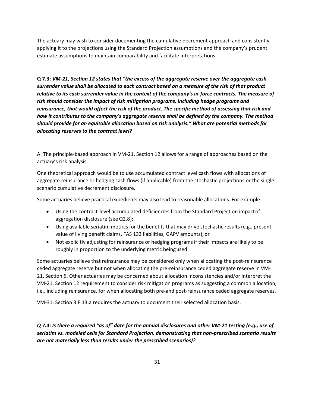The actuary may wish to consider documenting the cumulative decrement approach and consistently applying it to the projections using the Standard Projection assumptions and the company's prudent estimate assumptions to maintain comparability and facilitate interpretations.

**Q 7.3:** *VM-21, Section 12 states that "the excess of the aggregate reserve over the aggregate cash surrender value shall be allocated to each contract based on a measure of the risk of that product relative to its cash surrender value in the context of the company's in-force contracts. The measure of risk should consider the impact of risk mitigation programs, including hedge programs and reinsurance, that would affect the risk of the product. The specific method of assessing that risk and how it contributes to the company's aggregate reserve shall be defined by the company. The method should provide for an equitable allocation based on risk analysis." What are potential methods for allocating reserves to the contract level?*

A: The principle-based approach in VM-21, Section 12 allows for a range of approaches based on the actuary's risk analysis.

One theoretical approach would be to use accumulated contract level cash flows with allocations of aggregate reinsurance or hedging cash flows (if applicable) from the stochastic projections or the singlescenario cumulative decrement disclosure.

Some actuaries believe practical expedients may also lead to reasonable allocations. For example:

- Using the contract-level accumulated deficiencies from the Standard Projection impactof aggregation disclosure (seeQ2.8);
- Using available seriatim metrics for the benefits that may drive stochastic results (e.g., present value of living benefit claims, FAS 133 liabilities, GAPV amounts); or
- Not explicitly adjusting for reinsurance or hedging programs if their impacts are likely to be roughly in proportion to the underlying metric beingused.

Some actuaries believe that reinsurance may be considered only when allocating the post-reinsurance ceded aggregate reserve but not when allocating the pre-reinsurance ceded aggregate reserve in VM-21, Section 5. Other actuaries may be concerned about allocation inconsistencies and/or interpret the VM-21, Section 12 requirement to consider risk mitigation programs as suggesting a common allocation, i.e., including reinsurance, for when allocating both pre-and post-reinsurance ceded aggregate reserves.

VM-31, Section 3.F.13.a requires the actuary to document their selected allocation basis.

*Q 7.4: Is there a required "as of" date for the annual disclosures and other VM-21 testing (e.g., use of seriatim vs. modeled cells for Standard Projection, demonstrating that non-prescribed scenario results are not materially less than results under the prescribed scenarios)?*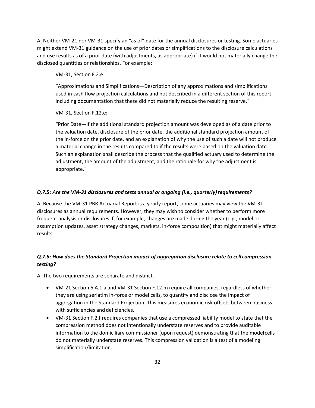A: Neither VM-21 nor VM-31 specify an "as of" date for the annual disclosures or testing. Some actuaries might extend VM-31 guidance on the use of prior dates or simplifications to the disclosure calculations and use results as of a prior date (with adjustments, as appropriate) if it would not materially change the disclosed quantities or relationships. For example:

VM-31, Section F.2.e:

"Approximations and Simplifications—Description of any approximations and simplifications used in cash flow projection calculations and not described in a different section of this report, including documentation that these did not materially reduce the resulting reserve."

VM-31, Section F.12.e:

"Prior Date—If the additional standard projection amount was developed as of a date prior to the valuation date, disclosure of the prior date, the additional standard projection amount of the in-force on the prior date, and an explanation of why the use of such a date will not produce a material change in the results compared to if the results were based on the valuation date. Such an explanation shall describe the process that the qualified actuary used to determine the adjustment, the amount of the adjustment, and the rationale for why the adjustment is appropriate."

#### *Q.7.5: Are the VM-31 disclosures and tests annual or ongoing (i.e., quarterly)requirements?*

A: Because the VM-31 PBR Actuarial Report is a yearly report, some actuaries may view the VM-31 disclosures as annual requirements. However, they may wish to consider whether to perform more frequent analysis or disclosures if, for example, changes are made during the year (e.g., model or assumption updates, asset strategy changes, markets, in-force composition) that might materially affect results.

#### *Q.7.6: How does the Standard Projection impact of aggregation disclosure relate to cell compression testing?*

A: The two requirements are separate and distinct.

- VM-21 Section 6.A.1.a and VM-31 Section F.12.m require all companies, regardless of whether they are using seriatim in-force or model cells, to quantify and disclose the impact of aggregation in the Standard Projection. This measures economic risk offsets between business with sufficiencies and deficiencies.
- VM-31 Section F.2.f requires companies that use a compressed liability model to state that the compression method does not intentionally understate reserves and to provide auditable information to the domiciliary commissioner (upon request) demonstrating that the modelcells do not materially understate reserves. This compression validation is a test of a modeling simplification/limitation.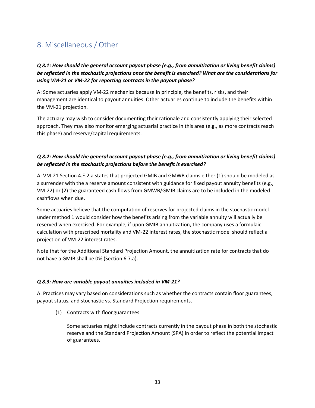## <span id="page-32-0"></span>8. Miscellaneous / Other

#### *Q 8.1: How should the general account payout phase (e.g., from annuitization or living benefit claims) be reflected in the stochastic projections once the benefit is exercised? What are the considerations for using VM-21 or VM-22 for reporting contracts in the payout phase?*

A: Some actuaries apply VM-22 mechanics because in principle, the benefits, risks, and their management are identical to payout annuities. Other actuaries continue to include the benefits within the VM-21 projection.

The actuary may wish to consider documenting their rationale and consistently applying their selected approach. They may also monitor emerging actuarial practice in this area (e.g., as more contracts reach this phase) and reserve/capital requirements.

#### *Q 8.2: How should the general account payout phase (e.g., from annuitization or living benefit claims) be reflected in the stochastic projections before the benefit is exercised?*

A: VM-21 Section 4.E.2.a states that projected GMIB and GMWB claims either (1) should be modeled as a surrender with the a reserve amount consistent with guidance for fixed payout annuity benefits (e.g., VM-22) or (2) the guaranteed cash flows from GMWB/GMIB claims are to be included in the modeled cashflows when due.

Some actuaries believe that the computation of reserves for projected claims in the stochastic model under method 1 would consider how the benefits arising from the variable annuity will actually be reserved when exercised. For example, if upon GMIB annuitization, the company uses a formulaic calculation with prescribed mortality and VM-22 interest rates, the stochastic model should reflect a projection of VM-22 interest rates.

Note that for the Additional Standard Projection Amount, the annuitization rate for contracts that do not have a GMIB shall be 0% (Section 6.7.a).

#### *Q 8.3: How are variable payout annuities included in VM-21?*

A: Practices may vary based on considerations such as whether the contracts contain floor guarantees, payout status, and stochastic vs. Standard Projection requirements.

(1) Contracts with floor guarantees

Some actuaries might include contracts currently in the payout phase in both the stochastic reserve and the Standard Projection Amount (SPA) in order to reflect the potential impact of guarantees.